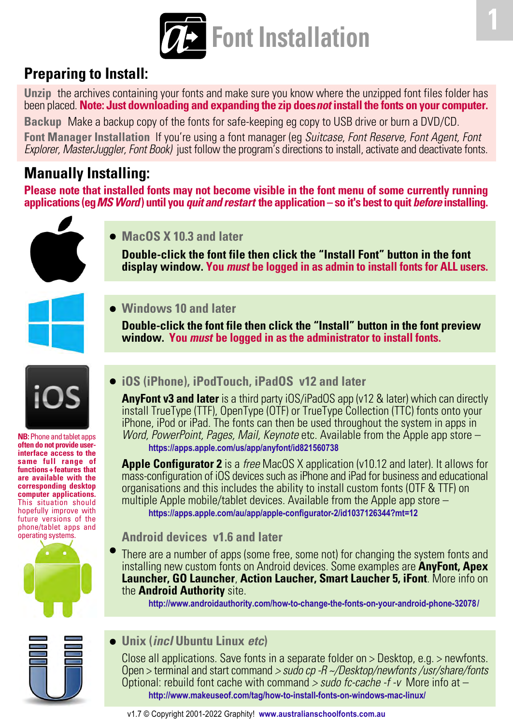

# **Preparing to Install:**

**Unzip** the archives containing your fonts and make sure you know where the unzipped font files folder has been placed. **Note: Just downloading and expanding the zip does** *not* **install the fonts on your computer.**

**Backup** Make a backup copy of the fonts for safe-keeping eg copy to USB drive or burn a DVD/CD.

**Font Manager Installation** If you're using a font manager (eg Suitcase, Font Reserve, Font Agent, Font Explorer, MasterJuggler, Font Book) just follow the program's directions to install, activate and deactivate fonts.

# **Manually Installing:**

**Please note that installed fonts may not become visible in the font menu of some currently running applications (eg** *MS Word***) until you** *quit and restart* **the application – so it's best to quit** *before* **installing.**

**MacOS X 10.3 and later**

**Double-click the font file then click the "Install Font" button in the font display window. You** *must* **be logged in as admin to install fonts for ALL users.**



**Windows 10 and later**

**Double-click the font file then click the "Install" button in the font preview window. You** *must* **be logged in as the administrator to install fonts.**



**NB:** Phone and tablet apps **often do not provide userinterface access to the same full range of functions + features that are available with the corresponding desktop computer applications.** This situation should hopefully improve with future versions of the phone/tablet apps and operating systems.



## **iOS (iPhone), iPodTouch, iPadOS v12 and later**

**AnyFont v3 and later** is a third party iOS/iPadOS app (v12 & later) which can directly install TrueType (TTF), OpenType (OTF) or TrueType Collection (TTC) fonts onto your iPhone, iPod or iPad. The fonts can then be used throughout the system in apps in Word, PowerPoint, Pages, Mail, Keynote etc. Available from the Apple app store – **<https://apps.apple.com/us/app/anyfont/id821560738>**

**Apple Configurator 2** is a free MacOS X application (v10.12 and later). It allows for mass-configuration of iOS devices such as iPhone and iPad for business and educational organisations and this includes the ability to install custom fonts (OTF & TTF) on multiple Apple mobile/tablet devices. Available from the Apple app store – **<https://apps.apple.com/au/app/apple-configurator-2/id1037126344?mt=12>**

## **Android devices v1.6 and later**

There are a number of apps (some free, some not) for changing the system fonts and installing new custom fonts on Android devices. Some examples are **AnyFont, Apex Launcher, GO Launcher**, **Action Laucher, Smart Laucher 5, iFont**. More info on the **Android Authority** site.

**<http://www.androidauthority.com/how-to-change-the-fonts-on-your-android-phone-32078/>**

## **Unix (***incl* **Ubuntu Linux** *etc***)**

Close all applications. Save fonts in a separate folder on > Desktop, e.g. > newfonts. Open > terminal and start command > sudo cp -R ~/Desktop/newfonts /usr/share/fonts Optional: rebuild font cache with command  $>$  sudo fc-cache -f -v More info at  $$ **<http://www.makeuseof.com/tag/how-to-install-fonts-on-windows-mac-linux/>**